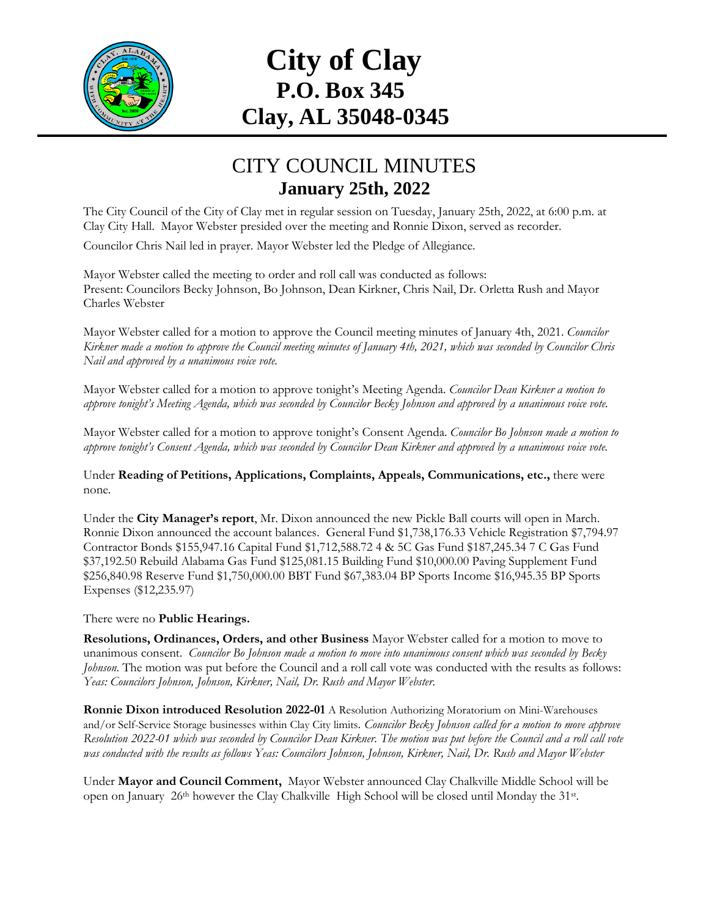

## **City of Clay P.O. Box 345 Clay, AL 35048-0345**

## CITY COUNCIL MINUTES **January 25th, 2022**

The City Council of the City of Clay met in regular session on Tuesday, January 25th, 2022, at 6:00 p.m. at Clay City Hall. Mayor Webster presided over the meeting and Ronnie Dixon, served as recorder.

Councilor Chris Nail led in prayer. Mayor Webster led the Pledge of Allegiance.

Mayor Webster called the meeting to order and roll call was conducted as follows: Present: Councilors Becky Johnson, Bo Johnson, Dean Kirkner, Chris Nail, Dr. Orletta Rush and Mayor Charles Webster

Mayor Webster called for a motion to approve the Council meeting minutes of January 4th, 2021. *Councilor Kirkner made a motion to approve the Council meeting minutes of January 4th, 2021, which was seconded by Councilor Chris Nail and approved by a unanimous voice vote.*

Mayor Webster called for a motion to approve tonight's Meeting Agenda. *Councilor Dean Kirkner a motion to approve tonight's Meeting Agenda, which was seconded by Councilor Becky Johnson and approved by a unanimous voice vote.*

Mayor Webster called for a motion to approve tonight's Consent Agenda. *Councilor Bo Johnson made a motion to approve tonight's Consent Agenda, which was seconded by Councilor Dean Kirkner and approved by a unanimous voice vote.*

Under **Reading of Petitions, Applications, Complaints, Appeals, Communications, etc.,** there were none*.*

Under the **City Manager's report**, Mr. Dixon announced the new Pickle Ball courts will open in March. Ronnie Dixon announced the account balances. General Fund \$1,738,176.33 Vehicle Registration \$7,794.97 Contractor Bonds \$155,947.16 Capital Fund \$1,712,588.72 4 & 5C Gas Fund \$187,245.34 7 C Gas Fund \$37,192.50 Rebuild Alabama Gas Fund \$125,081.15 Building Fund \$10,000.00 Paving Supplement Fund \$256,840.98 Reserve Fund \$1,750,000.00 BBT Fund \$67,383.04 BP Sports Income \$16,945.35 BP Sports Expenses (\$12,235.97)

## There were no **Public Hearings.**

**Resolutions, Ordinances, Orders, and other Business** Mayor Webster called for a motion to move to unanimous consent. *Councilor Bo Johnson made a motion to move into unanimous consent which was seconded by Becky Johnson*. The motion was put before the Council and a roll call vote was conducted with the results as follows: *Yeas: Councilors Johnson, Johnson, Kirkner, Nail, Dr. Rush and Mayor Webster.*

**Ronnie Dixon introduced Resolution 2022-01** A Resolution Authorizing Moratorium on Mini-Warehouses and/or Self-Service Storage businesses within Clay City limits*. Councilor Becky Johnson called for a motion to move approve Resolution 2022-01 which was seconded by Councilor Dean Kirkner. The motion was put before the Council and a roll call vote was conducted with the results as follows Yeas: Councilors Johnson, Johnson, Kirkner, Nail, Dr. Rush and Mayor Webster*

Under **Mayor and Council Comment,** Mayor Webster announced Clay Chalkville Middle School will be open on January 26<sup>th</sup> however the Clay Chalkville High School will be closed until Monday the 31<sup>st</sup>.